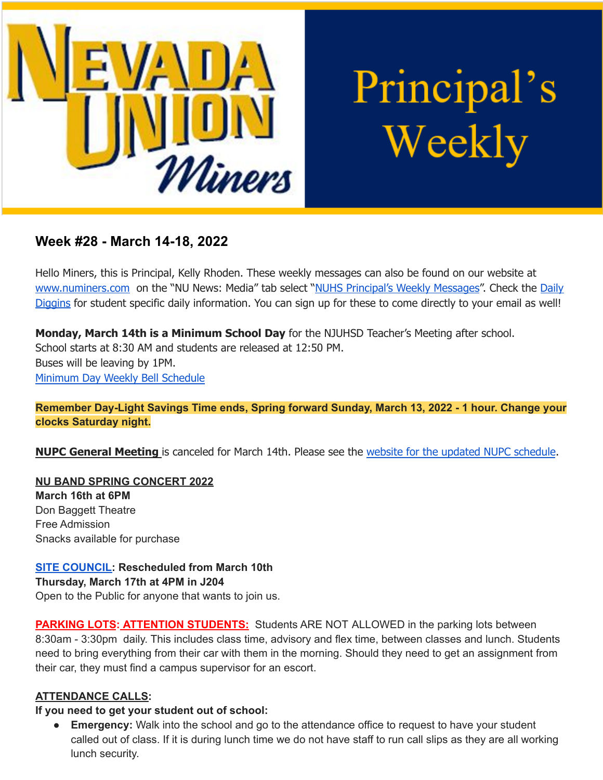

Principal's Weekly

# **Week #28 - March 14-18, 2022**

Hello Miners, this is Principal, Kelly Rhoden. These weekly messages can also be found on our website at [www.numiners.com](http://www.numiners.com) on the "NU News: Media" tab select "NUHS [Principal's](https://nevadaunion.njuhsd.com/NU-NewsMedia/NUHS-Principals-Weekly-Messages/index.html) Weekly Messages". Check the [Daily](https://nevadaunion.njuhsd.com/NU-NewsMedia/Daily-Diggins-Bulletin/index.html) [Diggins](https://nevadaunion.njuhsd.com/NU-NewsMedia/Daily-Diggins-Bulletin/index.html) for student specific daily information. You can sign up for these to come directly to your email as well!

**Monday, March 14th is a Minimum School Day** for the NJUHSD Teacher's Meeting after school. School starts at 8:30 AM and students are released at 12:50 PM. Buses will be leaving by 1PM. [Minimum](https://nevadaunion.njuhsd.com/documents/Bell%20Schedules/21.22-MONDAY-MINIMUM-DAY-BELL-SCHEDULE.pdf) Day Weekly Bell Schedule

**Remember Day-Light Savings Time ends, Spring forward Sunday, March 13, 2022 - 1 hour. Change your clocks Saturday night.**

**NUPC General Meeting** is canceled for March 14th. Please see the website for the updated NUPC [schedule](https://nevadaunion.njuhsd.com/Information/Parent-Club-NUPC/index.html).

**NU BAND SPRING CONCERT 2022 March 16th at 6PM** Don Baggett Theatre Free Admission Snacks available for purchase

**SITE [COUNCIL:](https://nevadaunion.njuhsd.com/Information/Site-Council/index.html) Rescheduled from March 10th Thursday, March 17th at 4PM in J204** Open to the Public for anyone that wants to join us.

**PARKING LOTS: ATTENTION STUDENTS:** Students ARE NOT ALLOWED in the parking lots between 8:30am - 3:30pm daily. This includes class time, advisory and flex time, between classes and lunch. Students need to bring everything from their car with them in the morning. Should they need to get an assignment from their car, they must find a campus supervisor for an escort.

### **ATTENDANCE CALLS:**

**If you need to get your student out of school:**

**Emergency:** Walk into the school and go to the attendance office to request to have your student called out of class. If it is during lunch time we do not have staff to run call slips as they are all working lunch security.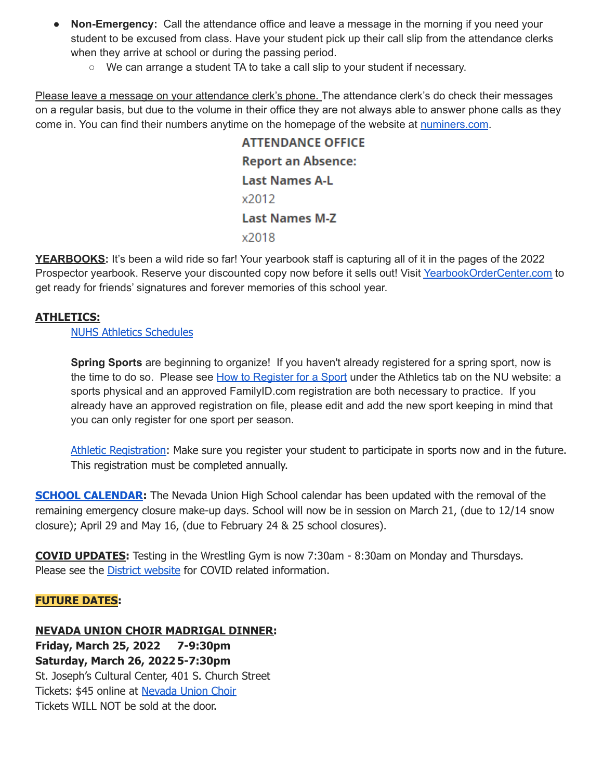- **Non-Emergency:** Call the attendance office and leave a message in the morning if you need your student to be excused from class. Have your student pick up their call slip from the attendance clerks when they arrive at school or during the passing period.
	- $\circ$  We can arrange a student TA to take a call slip to your student if necessary.

Please leave a message on your attendance clerk's phone. The attendance clerk's do check their messages on a regular basis, but due to the volume in their office they are not always able to answer phone calls as they come in. You can find their numbers anytime on the homepage of the website at [numiners.com](https://nevadaunion.njuhsd.com/).

> **ATTENDANCE OFFICE Report an Absence: Last Names A-L** x2012 **Last Names M-Z** x2018

**YEARBOOKS:** It's been a wild ride so far! Your yearbook staff is capturing all of it in the pages of the 2022 Prospector yearbook. Reserve your discounted copy now before it sells out! Visit [YearbookOrderCenter.com](https://www.yearbookordercenter.com/jobSearch/displayHome) to get ready for friends' signatures and forever memories of this school year.

### **ATHLETICS:**

NUHS Athletics [Schedules](https://nevadaunion.njuhsd.com/Athletics/Sports-Calendar--Schedules/index.html)

**Spring Sports** are beginning to organize! If you haven't already registered for a spring sport, now is the time to do so. Please see How to [Register](https://nevadaunion.njuhsd.com/Athletics/How-to-Register-For-a-Sport/index.html) for a Sport under the Athletics tab on the NU website: a sports physical and an approved FamilyID.com registration are both necessary to practice. If you already have an approved registration on file, please edit and add the new sport keeping in mind that you can only register for one sport per season.

Athletic [Registration:](https://nevadaunion.njuhsd.com/Athletics/How-to-Register-For-a-Sport/index.html) Make sure you register your student to participate in sports now and in the future. This registration must be completed annually.

**SCHOOL [CALENDAR](https://nevadaunion.njuhsd.com/Information/Calendar-School-Year-2021-2022/index.html):** The Nevada Union High School calendar has been updated with the removal of the remaining emergency closure make-up days. School will now be in session on March 21, (due to 12/14 snow closure); April 29 and May 16, (due to February 24 & 25 school closures).

**COVID UPDATES:** Testing in the Wrestling Gym is now 7:30am - 8:30am on Monday and Thursdays. Please see the District [website](http://njuhsd.com) for COVID related information.

#### **FUTURE DATES:**

# **NEVADA UNION CHOIR MADRIGAL DINNER: Friday, March 25, 2022 7-9:30pm Saturday, March 26, 20225-7:30pm** St. Joseph's Cultural Center, 401 S. Church Street Tickets: \$45 online at [Nevada](http://www.nuchoir.org/) Union Choir Tickets WILL NOT be sold at the door.